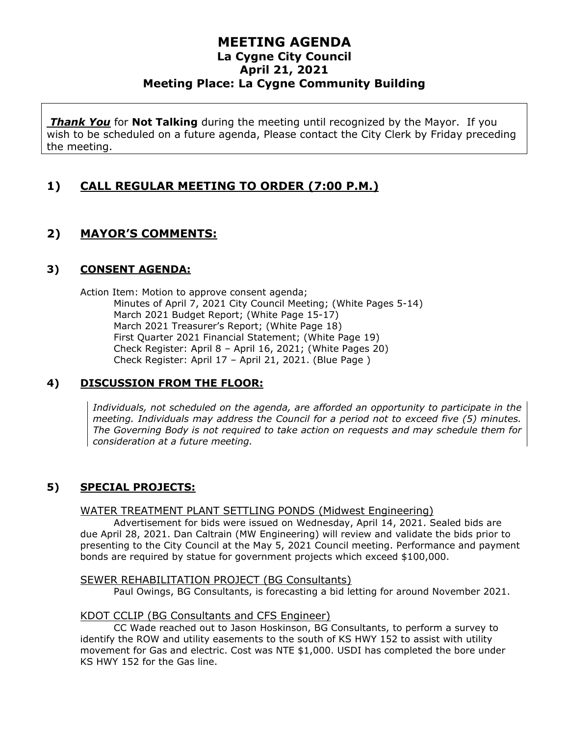*Thank You* for **Not Talking** during the meeting until recognized by the Mayor. If you wish to be scheduled on a future agenda, Please contact the City Clerk by Friday preceding the meeting.

# **1) CALL REGULAR MEETING TO ORDER (7:00 P.M.)**

# **2) MAYOR'S COMMENTS:**

## **3) CONSENT AGENDA:**

Action Item: Motion to approve consent agenda; Minutes of April 7, 2021 City Council Meeting; (White Pages 5-14) March 2021 Budget Report; (White Page 15-17) March 2021 Treasurer's Report; (White Page 18) First Quarter 2021 Financial Statement; (White Page 19) Check Register: April 8 – April 16, 2021; (White Pages 20) Check Register: April 17 – April 21, 2021. (Blue Page )

## **4) DISCUSSION FROM THE FLOOR:**

*Individuals, not scheduled on the agenda, are afforded an opportunity to participate in the meeting. Individuals may address the Council for a period not to exceed five (5) minutes. The Governing Body is not required to take action on requests and may schedule them for consideration at a future meeting.*

## **5) SPECIAL PROJECTS:**

### WATER TREATMENT PLANT SETTLING PONDS (Midwest Engineering)

Advertisement for bids were issued on Wednesday, April 14, 2021. Sealed bids are due April 28, 2021. Dan Caltrain (MW Engineering) will review and validate the bids prior to presenting to the City Council at the May 5, 2021 Council meeting. Performance and payment bonds are required by statue for government projects which exceed \$100,000.

### SEWER REHABILITATION PROJECT (BG Consultants)

Paul Owings, BG Consultants, is forecasting a bid letting for around November 2021.

### KDOT CCLIP (BG Consultants and CFS Engineer)

CC Wade reached out to Jason Hoskinson, BG Consultants, to perform a survey to identify the ROW and utility easements to the south of KS HWY 152 to assist with utility movement for Gas and electric. Cost was NTE \$1,000. USDI has completed the bore under KS HWY 152 for the Gas line.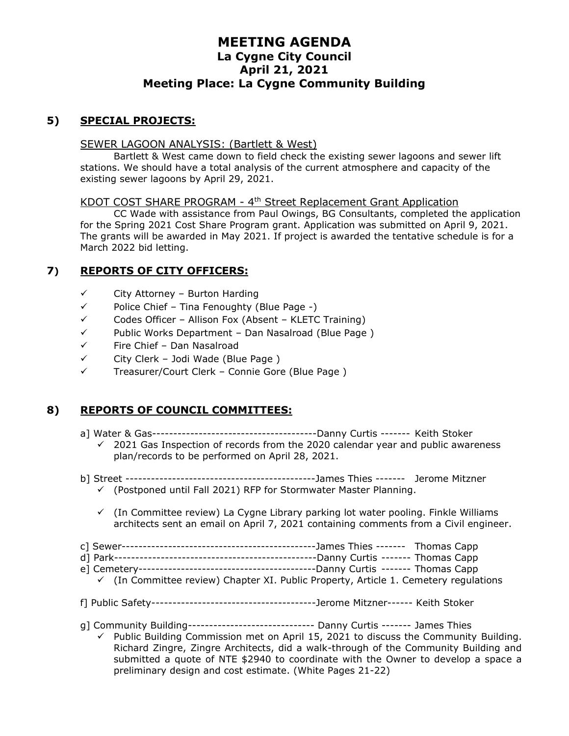### **5) SPECIAL PROJECTS:**

### SEWER LAGOON ANALYSIS: (Bartlett & West)

Bartlett & West came down to field check the existing sewer lagoons and sewer lift stations. We should have a total analysis of the current atmosphere and capacity of the existing sewer lagoons by April 29, 2021.

#### KDOT COST SHARE PROGRAM - 4<sup>th</sup> Street Replacement Grant Application

CC Wade with assistance from Paul Owings, BG Consultants, completed the application for the Spring 2021 Cost Share Program grant. Application was submitted on April 9, 2021. The grants will be awarded in May 2021. If project is awarded the tentative schedule is for a March 2022 bid letting.

### **7) REPORTS OF CITY OFFICERS:**

- ✓ City Attorney Burton Harding
- ✓ Police Chief Tina Fenoughty (Blue Page -)
- $\checkmark$  Codes Officer Allison Fox (Absent KLETC Training)
- ✓ Public Works Department Dan Nasalroad (Blue Page )
- ✓ Fire Chief Dan Nasalroad
- $\checkmark$  City Clerk Jodi Wade (Blue Page)
- ✓ Treasurer/Court Clerk Connie Gore (Blue Page )

### **8) REPORTS OF COUNCIL COMMITTEES:**

- a] Water & Gas---------------------------------------Danny Curtis ------- Keith Stoker
	- ✓ 2021 Gas Inspection of records from the 2020 calendar year and public awareness plan/records to be performed on April 28, 2021.
- b] Street ---------------------------------------------James Thies ------- Jerome Mitzner
	- $\checkmark$  (Postponed until Fall 2021) RFP for Stormwater Master Planning.
	- $\checkmark$  (In Committee review) La Cygne Library parking lot water pooling. Finkle Williams architects sent an email on April 7, 2021 containing comments from a Civil engineer.
- c] Sewer----------------------------------------------James Thies ------- Thomas Capp
- d] Park------------------------------------------------Danny Curtis ------- Thomas Capp
- e] Cemetery------------------------------------------Danny Curtis ------- Thomas Capp
- $\checkmark$  (In Committee review) Chapter XI. Public Property, Article 1. Cemetery regulations
- f] Public Safety---------------------------------------Jerome Mitzner------ Keith Stoker
- g] Community Building------------------------------ Danny Curtis ------- James Thies
	- Public Building Commission met on April 15, 2021 to discuss the Community Building. Richard Zingre, Zingre Architects, did a walk-through of the Community Building and submitted a quote of NTE \$2940 to coordinate with the Owner to develop a space a preliminary design and cost estimate. (White Pages 21-22)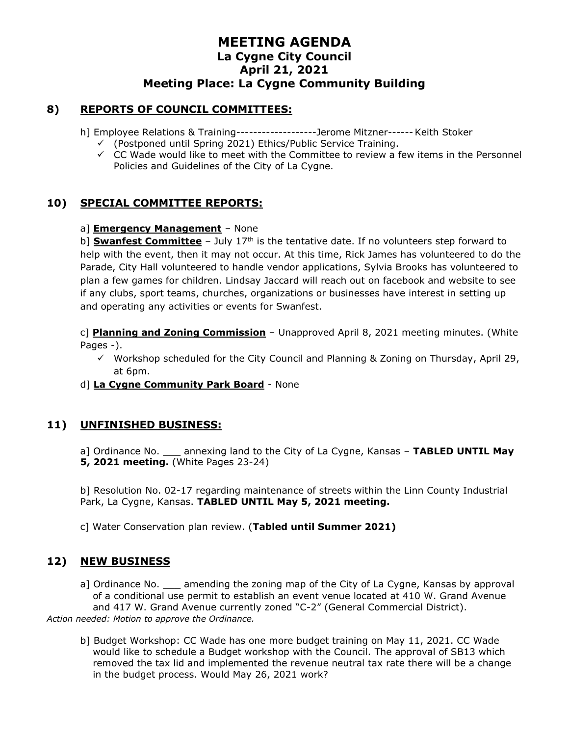### **8) REPORTS OF COUNCIL COMMITTEES:**

h] Employee Relations & Training-------------------Jerome Mitzner------Keith Stoker

- ✓ (Postponed until Spring 2021) Ethics/Public Service Training.
- $\checkmark$  CC Wade would like to meet with the Committee to review a few items in the Personnel Policies and Guidelines of the City of La Cygne.

## **10) SPECIAL COMMITTEE REPORTS:**

### a] **Emergency Management** – None

b] **Swanfest Committee** - July 17<sup>th</sup> is the tentative date. If no volunteers step forward to help with the event, then it may not occur. At this time, Rick James has volunteered to do the Parade, City Hall volunteered to handle vendor applications, Sylvia Brooks has volunteered to plan a few games for children. Lindsay Jaccard will reach out on facebook and website to see if any clubs, sport teams, churches, organizations or businesses have interest in setting up and operating any activities or events for Swanfest.

c] **Planning and Zoning Commission** – Unapproved April 8, 2021 meeting minutes. (White Pages -).

- $\checkmark$  Workshop scheduled for the City Council and Planning & Zoning on Thursday, April 29, at 6pm.
- d] **La Cygne Community Park Board** None

### **11) UNFINISHED BUSINESS:**

a] Ordinance No. \_\_\_ annexing land to the City of La Cygne, Kansas – **TABLED UNTIL May 5, 2021 meeting.** (White Pages 23-24)

b] Resolution No. 02-17 regarding maintenance of streets within the Linn County Industrial Park, La Cygne, Kansas. **TABLED UNTIL May 5, 2021 meeting.**

c] Water Conservation plan review. (**Tabled until Summer 2021)**

## **12) NEW BUSINESS**

a] Ordinance No. \_\_\_\_ amending the zoning map of the City of La Cygne, Kansas by approval of a conditional use permit to establish an event venue located at 410 W. Grand Avenue and 417 W. Grand Avenue currently zoned "C-2" (General Commercial District). *Action needed: Motion to approve the Ordinance.*

b] Budget Workshop: CC Wade has one more budget training on May 11, 2021. CC Wade would like to schedule a Budget workshop with the Council. The approval of SB13 which removed the tax lid and implemented the revenue neutral tax rate there will be a change in the budget process. Would May 26, 2021 work?